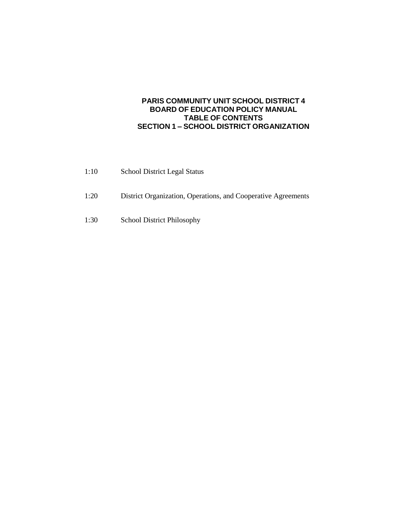### **PARIS COMMUNITY UNIT SCHOOL DISTRICT 4 BOARD OF EDUCATION POLICY MANUAL TABLE OF CONTENTS SECTION 1 – SCHOOL DISTRICT ORGANIZATION**

| 1:10 | <b>School District Legal Status</b>                           |
|------|---------------------------------------------------------------|
| 1:20 | District Organization, Operations, and Cooperative Agreements |
| 1:30 | School District Philosophy                                    |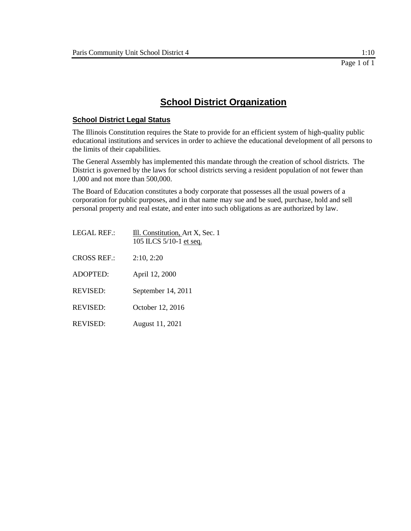## **School District Organization**

### **School District Legal Status**

The Illinois Constitution requires the State to provide for an efficient system of high-quality public educational institutions and services in order to achieve the educational development of all persons to the limits of their capabilities.

The General Assembly has implemented this mandate through the creation of school districts. The District is governed by the laws for school districts serving a resident population of not fewer than 1,000 and not more than 500,000.

The Board of Education constitutes a body corporate that possesses all the usual powers of a corporation for public purposes, and in that name may sue and be sued, purchase, hold and sell personal property and real estate, and enter into such obligations as are authorized by law.

| <b>LEGAL REF.:</b> | Ill. Constitution, Art X, Sec. 1<br>105 ILCS 5/10-1 et seq. |
|--------------------|-------------------------------------------------------------|
| <b>CROSS REF.:</b> | 2:10, 2:20                                                  |
| <b>ADOPTED:</b>    | April 12, 2000                                              |
| <b>REVISED:</b>    | September 14, 2011                                          |
| <b>REVISED:</b>    | October 12, 2016                                            |
| <b>REVISED:</b>    | August 11, 2021                                             |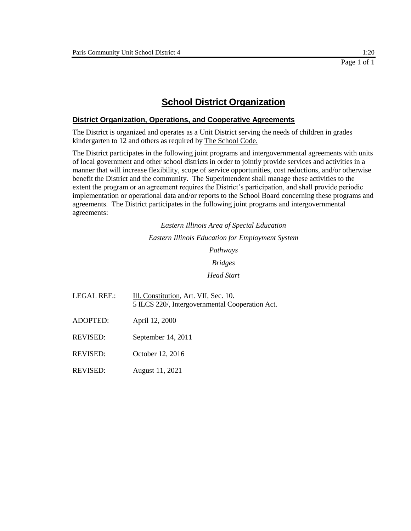## **School District Organization**

#### **District Organization, Operations, and Cooperative Agreements**

The District is organized and operates as a Unit District serving the needs of children in grades kindergarten to 12 and others as required by The School Code.

The District participates in the following joint programs and intergovernmental agreements with units of local government and other school districts in order to jointly provide services and activities in a manner that will increase flexibility, scope of service opportunities, cost reductions, and/or otherwise benefit the District and the community. The Superintendent shall manage these activities to the extent the program or an agreement requires the District's participation, and shall provide periodic implementation or operational data and/or reports to the School Board concerning these programs and agreements. The District participates in the following joint programs and intergovernmental agreements:

> *Eastern Illinois Area of Special Education Eastern Illinois Education for Employment System Pathways Bridges Head Start*

- LEGAL REF.: Ill. Constitution, Art. VII, Sec. 10. 5 ILCS 220/, Intergovernmental Cooperation Act.
- ADOPTED: April 12, 2000

REVISED: September 14, 2011

- REVISED: October 12, 2016
- REVISED: August 11, 2021